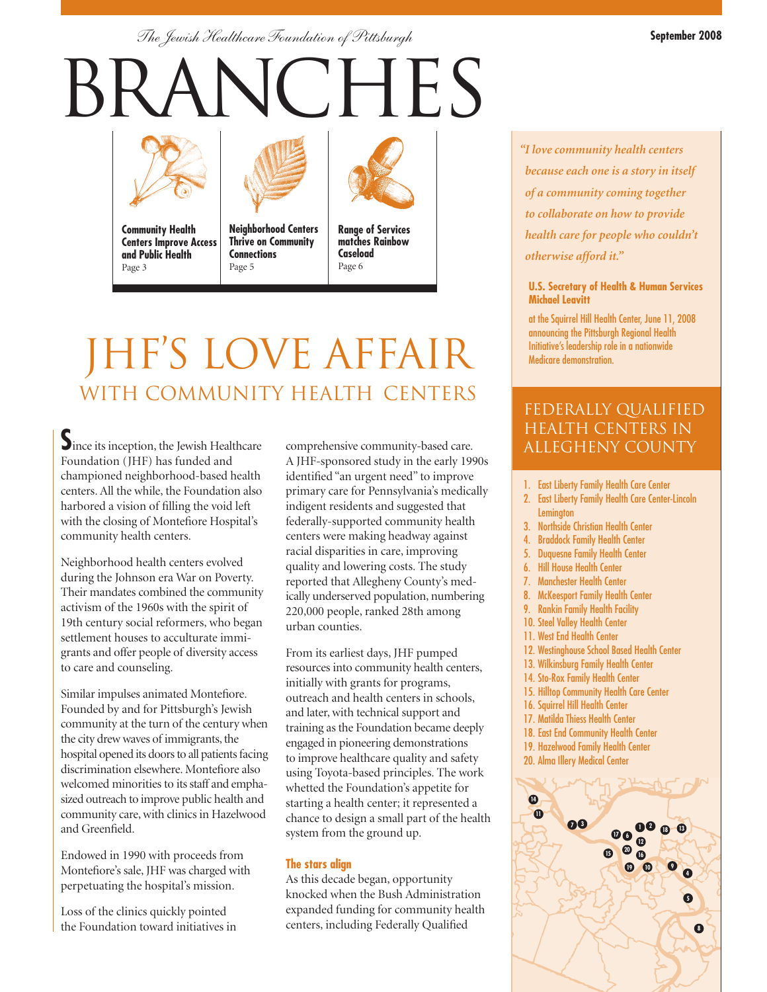*The Jewish Healthcare Foundation of Pittsburgh* **September 2008**

# **BRANCHES**



**Community Health Centers Improve Access and Public Health** Page 3

**Neighborhood Centers Thrive on Community Connections**

Page 5



**Range of Services matches Rainbow Caseload** Page 6

## JHF'S LOVE AFFAIR WITH COMMUNITY HEALTH CENTERS

Since its inception, the Jewish Healthcare Foundation (JHF) has funded and championed neighborhood-based health centers. All the while, the Foundation also harbored a vision of filling the void left with the closing of Montefiore Hospital's community health centers.

Neighborhood health centers evolved during the Johnson era War on Poverty. Their mandates combined the community activism of the 1960s with the spirit of 19th century social reformers, who began settlement houses to acculturate immigrants and offer people of diversity access to care and counseling.

Similar impulses animated Montefiore. Founded by and for Pittsburgh's Jewish community at the turn of the century when the city drew waves of immigrants, the hospital opened its doors to all patients facing discrimination elsewhere. Montefiore also welcomed minorities to its staff and emphasized outreach to improve public health and community care, with clinics in Hazelwood and Greenfield.

Endowed in 1990 with proceeds from Montefiore's sale, JHF was charged with perpetuating the hospital's mission.

Loss of the clinics quickly pointed the Foundation toward initiatives in comprehensive community-based care. A JHF-sponsored study in the early 1990s identified "an urgent need" to improve primary care for Pennsylvania's medically indigent residents and suggested that federally-supported community health centers were making headway against racial disparities in care, improving quality and lowering costs. The study reported that Allegheny County's medically underserved population, numbering 220,000 people, ranked 28th among urban counties.

From its earliest days, JHF pumped resources into community health centers, initially with grants for programs, outreach and health centers in schools, and later, with technical support and training as the Foundation became deeply engaged in pioneering demonstrations to improve healthcare quality and safety using Toyota-based principles. The work whetted the Foundation's appetite for starting a health center; it represented a chance to design a small part of the health system from the ground up.

#### **The stars align**

As this decade began, opportunity knocked when the Bush Administration expanded funding for community health centers, including Federally Qualified

*"I love community health centers because each one is a story in itself of a community coming together to collaborate on how to provide health care for people who couldn't otherwise afford it."*

#### **U.S. Secretary of Health & Human Services Michael Leavitt**

at the Squirrel Hill Health Center, June 11, 2008 announcing the Pittsburgh Regional Health Initiative's leadership role in a nationwide Medicare demonstration.

#### Federally qualified health centers in allegheny county

- 1. East Liberty Family Health Care Center
- 2. East Liberty Family Health Care Center-Lincoln **Lemington**
- 3. Northside Christian Health Center
- 4. Braddock Family Health Center
- 5. Duquesne Family Health Center
- 6. Hill House Health Center
- 7. Manchester Health Center
- 8. McKeesport Family Health Center
- 9. Rankin Family Health Facility
- 10. Steel Valley Health Center
- 11. West End Health Center
- 12. Westinghouse School Based Health Center
- 13. Wilkinsburg Family Health Center
- 14. Sto-Rox Family Health Center
- 15. Hilltop Community Health Care Center
- 16. Squirrel Hill Health Center
- 17. Matilda Thiess Health Center
- 18. East End Community Health Center
- 19. Hazelwood Family Health Center
- 20. Alma Illery Medical Center

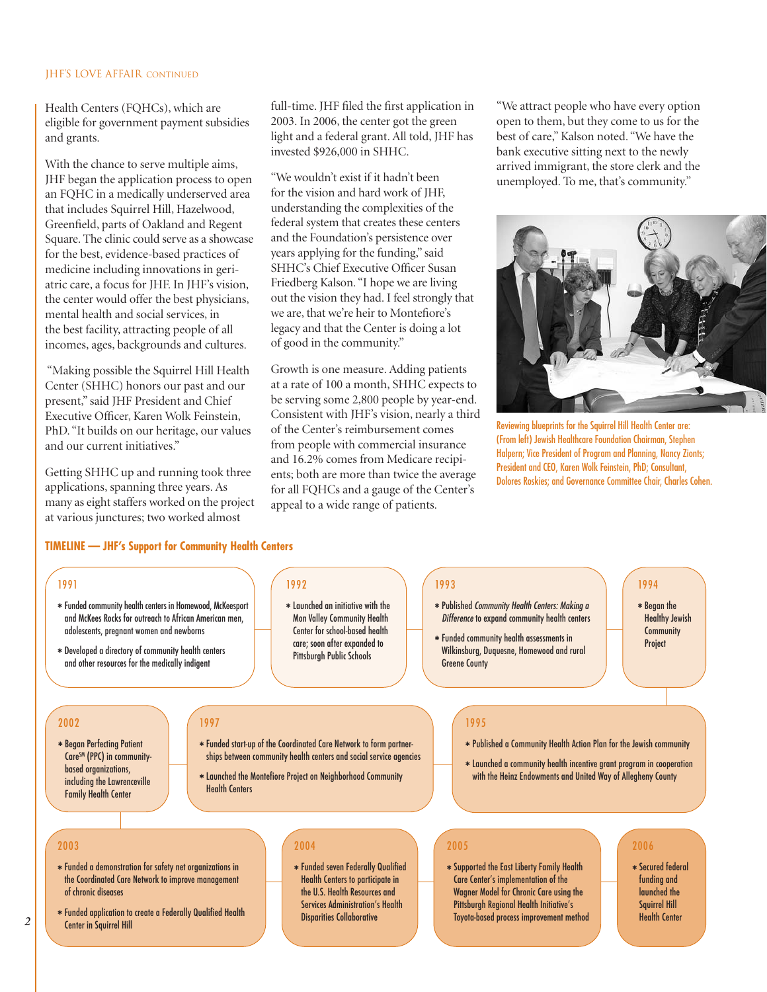#### JHF's Love Affair continued

Health Centers (FQHCs), which are eligible for government payment subsidies and grants.

With the chance to serve multiple aims, JHF began the application process to open an FQHC in a medically underserved area that includes Squirrel Hill, Hazelwood, Greenfield, parts of Oakland and Regent Square. The clinic could serve as a showcase for the best, evidence-based practices of medicine including innovations in geriatric care, a focus for JHF. In JHF's vision, the center would offer the best physicians, mental health and social services, in the best facility, attracting people of all incomes, ages, backgrounds and cultures.

"Making possible the Squirrel Hill Health Center (SHHC) honors our past and our present," said JHF President and Chief Executive Officer, Karen Wolk Feinstein, PhD. "It builds on our heritage, our values and our current initiatives."

Getting SHHC up and running took three applications, spanning three years. As many as eight staffers worked on the project at various junctures; two worked almost

full-time. JHF filed the first application in 2003. In 2006, the center got the green light and a federal grant. All told, JHF has invested \$926,000 in SHHC.

"We wouldn't exist if it hadn't been for the vision and hard work of JHF, understanding the complexities of the federal system that creates these centers and the Foundation's persistence over years applying for the funding," said SHHC's Chief Executive Officer Susan Friedberg Kalson. "I hope we are living out the vision they had. I feel strongly that we are, that we're heir to Montefiore's legacy and that the Center is doing a lot of good in the community."

Growth is one measure. Adding patients at a rate of 100 a month, SHHC expects to be serving some 2,800 people by year-end. Consistent with JHF's vision, nearly a third of the Center's reimbursement comes from people with commercial insurance and 16.2% comes from Medicare recipients; both are more than twice the average for all FQHCs and a gauge of the Center's appeal to a wide range of patients.

"We attract people who have every option open to them, but they come to us for the best of care," Kalson noted. "We have the bank executive sitting next to the newly arrived immigrant, the store clerk and the unemployed. To me, that's community."



Reviewing blueprints for the Squirrel Hill Health Center are: (From left) Jewish Healthcare Foundation Chairman, Stephen Halpern; Vice President of Program and Planning, Nancy Zionts; President and CEO, Karen Wolk Feinstein, PhD; Consultant, Dolores Roskies; and Governance Committee Chair, Charles Cohen.

#### **TIMELINE — JHF's Support for Community Health Centers**

1997

Health Centers

#### 1991

- ✱ Funded community health centers in Homewood, McKeesport and McKees Rocks for outreach to African American men, adolescents, pregnant women and newborns
- ✱ Developed a directory of community health centers and other resources for the medically indigent

#### 2002

✱ Began Perfecting Patient Care<sup>SM</sup> (PPC) in communitybased organizations, including the Lawrenceville Family Health Center

#### 1992

✱ Launched an initiative with the Mon Valley Community Health Center for school-based health care; soon after expanded to Pittsburgh Public Schools

#### 1993

- ✱ Published Community Health Centers: Making a Difference to expand community health centers
- ✱ Funded community health assessments in Wilkinsburg, Duquesne, Homewood and rural Greene County

#### 1994

✱ Began the Healthy Jewish **Community** Project

#### 1995

- ✱ Published a Community Health Action Plan for the Jewish community
- ✱ Launched a community health incentive grant program in cooperation with the Heinz Endowments and United Way of Allegheny County

#### 2003

- ✱ Funded a demonstration for safety net organizations in the Coordinated Care Network to improve management of chronic diseases
- ✱ Funded application to create a Federally Qualified Health Center in Squirrel Hill and the contert in Savirrel Hill Center a Federally Qualities feature and the Disparities Collaborative Toyota-based process improvement method Health Center Health Center and the Health Center of Disparities Collaborative

#### 2004

✱ Funded start-up of the Coordinated Care Network to form partnerships between community health centers and social service agencies ✱ Launched the Montefiore Project on Neighborhood Community

> ✱ Funded seven Federally Qualified Health Centers to participate in the U.S. Health Resources and Services Administration's Health Disparities Collaborative

#### 2005

✱ Supported the East Liberty Family Health Care Center's implementation of the Wagner Model for Chronic Care using the Pittsburgh Regional Health Initiative's

#### 2006

✱ Secured federal funding and launched the Squirrel Hill<br>Health Center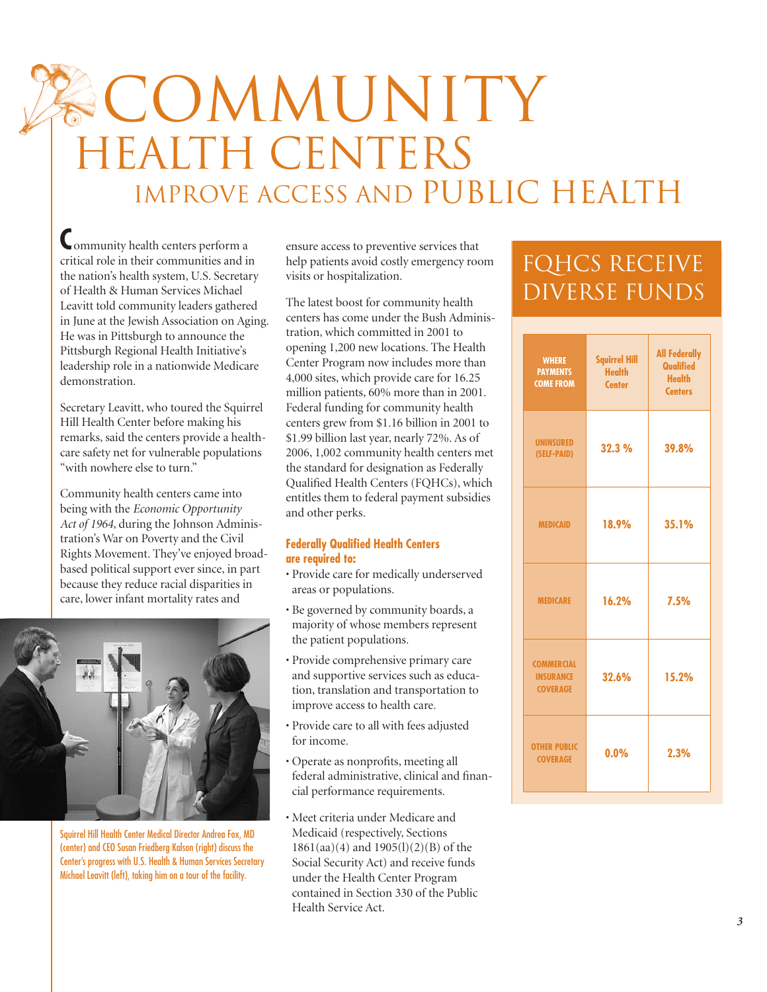# COMMUNITY Health Centers IMPROVE ACCESS AND PUBLIC HEALTH

**C**ommunity health centers perform a critical role in their communities and in the nation's health system, U.S. Secretary of Health & Human Services Michael Leavitt told community leaders gathered in June at the Jewish Association on Aging. He was in Pittsburgh to announce the Pittsburgh Regional Health Initiative's leadership role in a nationwide Medicare demonstration.

Secretary Leavitt, who toured the Squirrel Hill Health Center before making his remarks, said the centers provide a healthcare safety net for vulnerable populations "with nowhere else to turn."

Community health centers came into being with the *Economic Opportunity Act of 1964*, during the Johnson Administration's War on Poverty and the Civil Rights Movement. They've enjoyed broadbased political support ever since, in part because they reduce racial disparities in care, lower infant mortality rates and



Squirrel Hill Health Center Medical Director Andrea Fox, MD (center) and CEO Susan Friedberg Kalson (right) discuss the Center's progress with U.S. Health & Human Services Secretary Michael Leavitt (left), taking him on a tour of the facility.

ensure access to preventive services that help patients avoid costly emergency room visits or hospitalization.

The latest boost for community health centers has come under the Bush Administration, which committed in 2001 to opening 1,200 new locations. The Health Center Program now includes more than 4,000 sites, which provide care for 16.25 million patients, 60% more than in 2001. Federal funding for community health centers grew from \$1.16 billion in 2001 to \$1.99 billion last year, nearly 72%. As of 2006, 1,002 community health centers met the standard for designation as Federally Qualified Health Centers (FQHCs), which entitles them to federal payment subsidies and other perks.

#### **Federally Qualified Health Centers are required to:**

- Provide care for medically underserved areas or populations.
- Be governed by community boards, a majority of whose members represent the patient populations.
- Provide comprehensive primary care and supportive services such as education, translation and transportation to improve access to health care.
- Provide care to all with fees adjusted for income.
- Operate as nonprofits, meeting all federal administrative, clinical and financial performance requirements.
- Meet criteria under Medicare and Medicaid (respectively, Sections 1861(aa)(4) and 1905(l)(2)(B) of the Social Security Act) and receive funds under the Health Center Program contained in Section 330 of the Public Health Service Act.

### FQHcs receive diverse funds

| <b>WHERE</b><br><b>PAYMENTS</b><br><b>COME FROM</b>      | <b>Squirrel Hill</b><br><b>Health</b><br><b>Center</b> | <b>All Federally</b><br>Qualified<br><b>Health</b><br><b>Centers</b> |
|----------------------------------------------------------|--------------------------------------------------------|----------------------------------------------------------------------|
| <b>UNINSURED</b><br>(SELF-PAID)                          | 32.3 %                                                 | 39.8%                                                                |
| <b>MEDICAID</b>                                          | 18.9%                                                  | 35.1%                                                                |
| <b>MEDICARE</b>                                          | 16.2%                                                  | 7.5%                                                                 |
| <b>COMMERCIAL</b><br><b>INSURANCE</b><br><b>COVERAGE</b> | 32.6%                                                  | 15.2%                                                                |
| <b>OTHER PUBLIC</b><br><b>COVERAGE</b>                   | 0.0%                                                   | 2.3%                                                                 |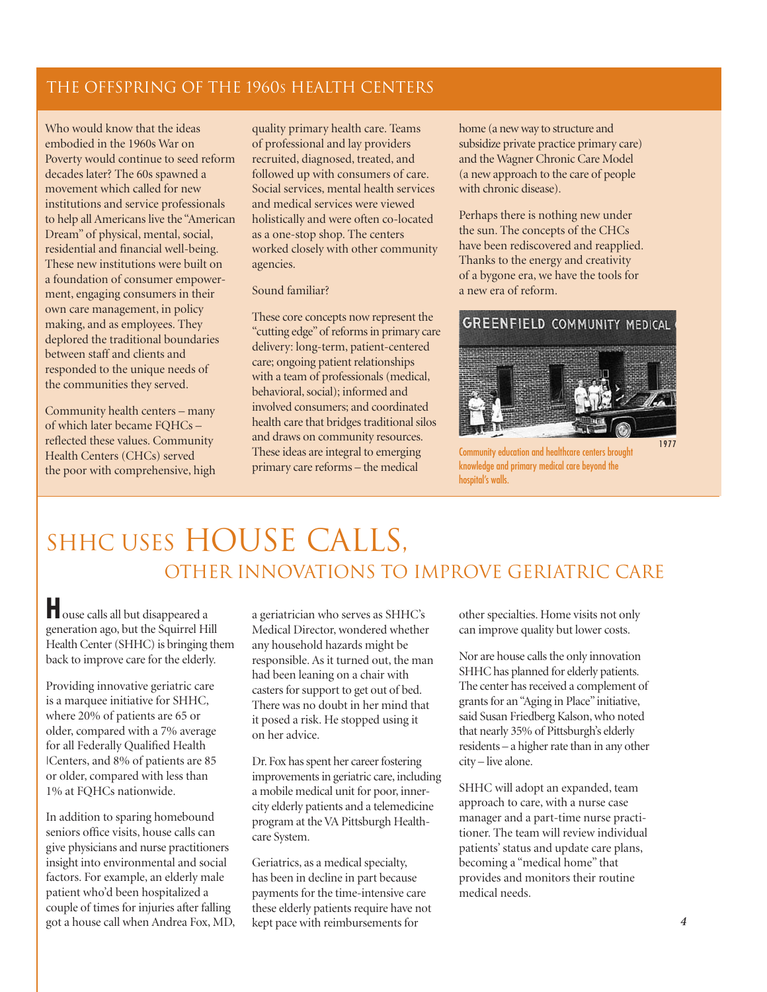#### The Offspring of the 1960s Health Centers

Who would know that the ideas embodied in the 1960s War on Poverty would continue to seed reform decades later? The 60s spawned a movement which called for new institutions and service professionals to help all Americans live the "American Dream" of physical, mental, social, residential and financial well-being. These new institutions were built on a foundation of consumer empowerment, engaging consumers in their own care management, in policy making, and as employees. They deplored the traditional boundaries between staff and clients and responded to the unique needs of the communities they served.

Community health centers – many of which later became FQHCs – reflected these values. Community Health Centers (CHCs) served the poor with comprehensive, high

quality primary health care. Teams of professional and lay providers recruited, diagnosed, treated, and followed up with consumers of care. Social services, mental health services and medical services were viewed holistically and were often co-located as a one-stop shop. The centers worked closely with other community agencies.

#### Sound familiar?

These core concepts now represent the "cutting edge" of reforms in primary care delivery: long-term, patient-centered care; ongoing patient relationships with a team of professionals (medical, behavioral, social); informed and involved consumers; and coordinated health care that bridges traditional silos and draws on community resources. These ideas are integral to emerging primary care reforms – the medical

home (a new way to structure and subsidize private practice primary care) and the Wagner Chronic Care Model (a new approach to the care of people with chronic disease).

Perhaps there is nothing new under the sun. The concepts of the CHCs have been rediscovered and reapplied. Thanks to the energy and creativity of a bygone era, we have the tools for a new era of reform.

#### **GREENFIELD COMMUNITY MEDICAL (**



Community education and healthcare centers brought knowledge and primary medical care beyond the hospital's walls.

### SHHC USES HOUSE CALLS, OTHER INNOVATIONS TO IMPROVE GERIATRIC CARE

**H**ouse calls all but disappeared a generation ago, but the Squirrel Hill Health Center (SHHC) is bringing them back to improve care for the elderly.

Providing innovative geriatric care is a marquee initiative for SHHC, where 20% of patients are 65 or older, compared with a 7% average for all Federally Qualified Health |Centers, and 8% of patients are 85 or older, compared with less than 1% at FQHCs nationwide.

In addition to sparing homebound seniors office visits, house calls can give physicians and nurse practitioners insight into environmental and social factors. For example, an elderly male patient who'd been hospitalized a couple of times for injuries after falling got a house call when Andrea Fox, MD, a geriatrician who serves as SHHC's Medical Director, wondered whether any household hazards might be responsible. As it turned out, the man had been leaning on a chair with casters for support to get out of bed. There was no doubt in her mind that it posed a risk. He stopped using it on her advice.

Dr. Fox has spent her career fostering improvements in geriatric care, including a mobile medical unit for poor, innercity elderly patients and a telemedicine program at the VA Pittsburgh Healthcare System.

Geriatrics, as a medical specialty, has been in decline in part because payments for the time-intensive care these elderly patients require have not kept pace with reimbursements for

other specialties. Home visits not only can improve quality but lower costs.

Nor are house calls the only innovation SHHC has planned for elderly patients. The center has received a complement of grants for an "Aging in Place" initiative, said Susan Friedberg Kalson, who noted that nearly 35% of Pittsburgh's elderly residents – a higher rate than in any other city – live alone.

SHHC will adopt an expanded, team approach to care, with a nurse case manager and a part-time nurse practitioner. The team will review individual patients' status and update care plans, becoming a "medical home" that provides and monitors their routine medical needs.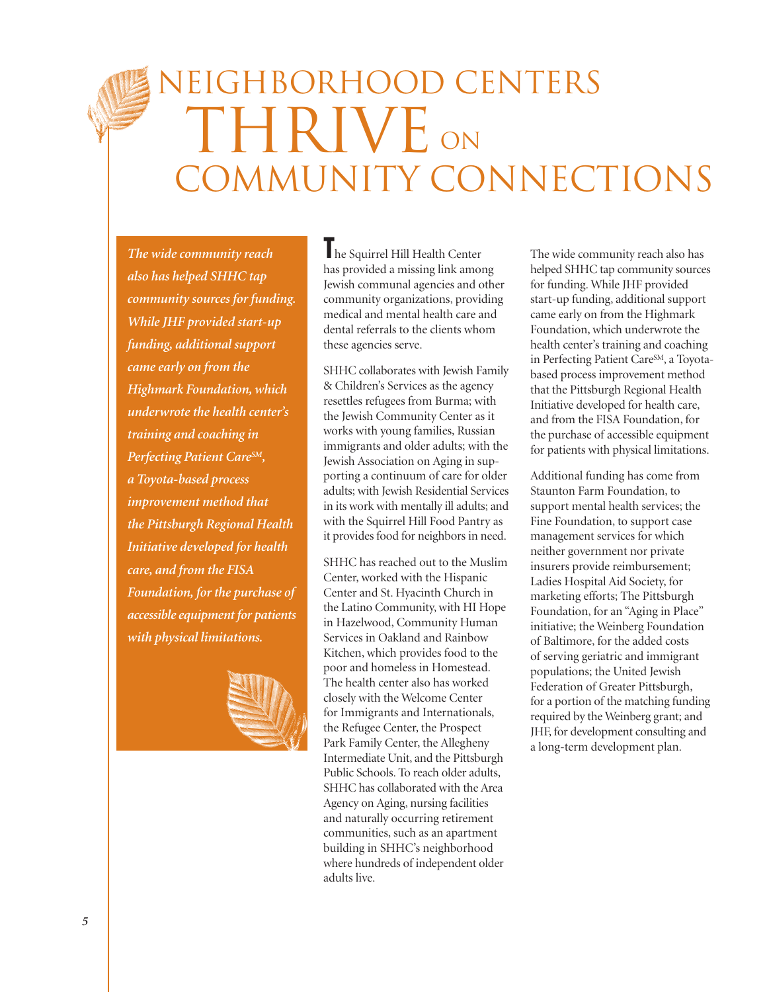# NEIGHBORHOOD CENTERS THRIVE ON COMMUNITY CONNECTIONS

*The wide community reach also has helped SHHC tap community sources for funding. While JHF provided start-up funding, additional support came early on from the Highmark Foundation, which underwrote the health center's training and coaching in Perfecting Patient CareSM, a Toyota-based process improvement method that the Pittsburgh Regional Health Initiative developed for health care, and from the FISA Foundation, for the purchase of accessible equipment for patients with physical limitations.*



**T**he Squirrel Hill Health Center has provided a missing link among Jewish communal agencies and other community organizations, providing medical and mental health care and dental referrals to the clients whom these agencies serve.

SHHC collaborates with Jewish Family & Children's Services as the agency resettles refugees from Burma; with the Jewish Community Center as it works with young families, Russian immigrants and older adults; with the Jewish Association on Aging in supporting a continuum of care for older adults; with Jewish Residential Services in its work with mentally ill adults; and with the Squirrel Hill Food Pantry as it provides food for neighbors in need.

SHHC has reached out to the Muslim Center, worked with the Hispanic Center and St. Hyacinth Church in the Latino Community, with HI Hope in Hazelwood, Community Human Services in Oakland and Rainbow Kitchen, which provides food to the poor and homeless in Homestead. The health center also has worked closely with the Welcome Center for Immigrants and Internationals, the Refugee Center, the Prospect Park Family Center, the Allegheny Intermediate Unit, and the Pittsburgh Public Schools. To reach older adults, SHHC has collaborated with the Area Agency on Aging, nursing facilities and naturally occurring retirement communities, such as an apartment building in SHHC's neighborhood where hundreds of independent older adults live.

The wide community reach also has helped SHHC tap community sources for funding. While JHF provided start-up funding, additional support came early on from the Highmark Foundation, which underwrote the health center's training and coaching in Perfecting Patient CareSM, a Toyotabased process improvement method that the Pittsburgh Regional Health Initiative developed for health care, and from the FISA Foundation, for the purchase of accessible equipment for patients with physical limitations.

Additional funding has come from Staunton Farm Foundation, to support mental health services; the Fine Foundation, to support case management services for which neither government nor private insurers provide reimbursement; Ladies Hospital Aid Society, for marketing efforts; The Pittsburgh Foundation, for an "Aging in Place" initiative; the Weinberg Foundation of Baltimore, for the added costs of serving geriatric and immigrant populations; the United Jewish Federation of Greater Pittsburgh, for a portion of the matching funding required by the Weinberg grant; and JHF, for development consulting and a long-term development plan.